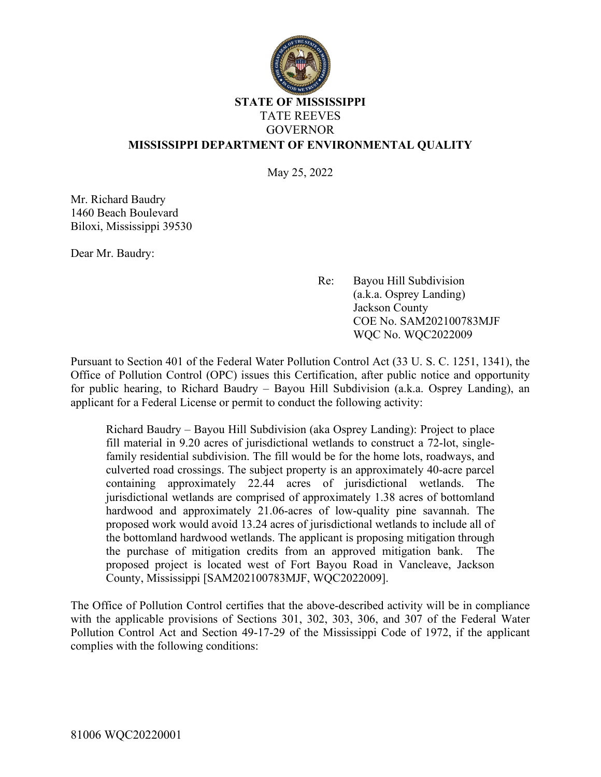

## **STATE OF MISSISSIPPI** TATE REEVES GOVERNOR **MISSISSIPPI DEPARTMENT OF ENVIRONMENTAL QUALITY**

May 25, 2022

Mr. Richard Baudry 1460 Beach Boulevard Biloxi, Mississippi 39530

Dear Mr. Baudry:

Re: Bayou Hill Subdivision (a.k.a. Osprey Landing) Jackson County COE No. SAM202100783MJF WQC No. WQC2022009

Pursuant to Section 401 of the Federal Water Pollution Control Act (33 U. S. C. 1251, 1341), the Office of Pollution Control (OPC) issues this Certification, after public notice and opportunity for public hearing, to Richard Baudry – Bayou Hill Subdivision (a.k.a. Osprey Landing), an applicant for a Federal License or permit to conduct the following activity:

Richard Baudry – Bayou Hill Subdivision (aka Osprey Landing): Project to place fill material in 9.20 acres of jurisdictional wetlands to construct a 72-lot, singlefamily residential subdivision. The fill would be for the home lots, roadways, and culverted road crossings. The subject property is an approximately 40-acre parcel containing approximately 22.44 acres of jurisdictional wetlands. The jurisdictional wetlands are comprised of approximately 1.38 acres of bottomland hardwood and approximately 21.06-acres of low-quality pine savannah. The proposed work would avoid 13.24 acres of jurisdictional wetlands to include all of the bottomland hardwood wetlands. The applicant is proposing mitigation through the purchase of mitigation credits from an approved mitigation bank. The proposed project is located west of Fort Bayou Road in Vancleave, Jackson County, Mississippi [SAM202100783MJF, WQC2022009].

The Office of Pollution Control certifies that the above-described activity will be in compliance with the applicable provisions of Sections 301, 302, 303, 306, and 307 of the Federal Water Pollution Control Act and Section 49-17-29 of the Mississippi Code of 1972, if the applicant complies with the following conditions: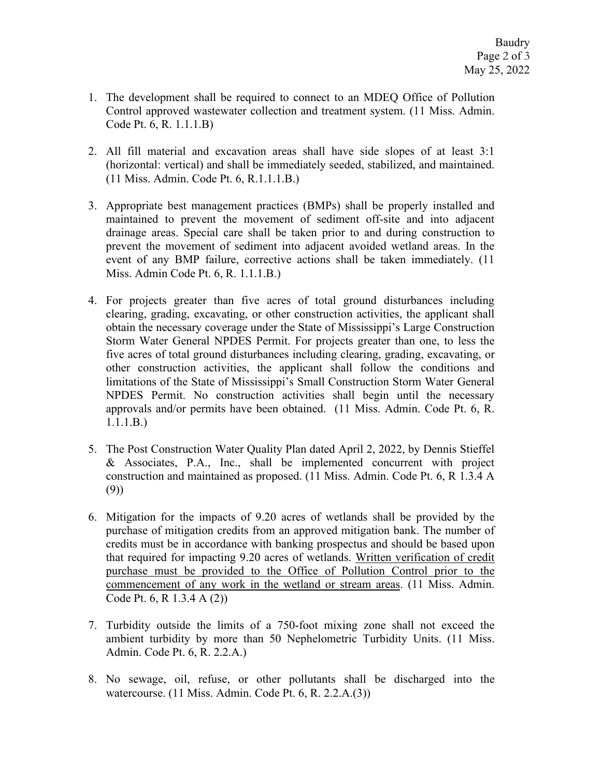- 1. The development shall be required to connect to an MDEQ Office of Pollution Control approved wastewater collection and treatment system. (11 Miss. Admin. Code Pt. 6, R. 1.1.1.B)
- 2. All fill material and excavation areas shall have side slopes of at least 3:1 (horizontal: vertical) and shall be immediately seeded, stabilized, and maintained. (11 Miss. Admin. Code Pt. 6, R.1.1.1.B.)
- 3. Appropriate best management practices (BMPs) shall be properly installed and maintained to prevent the movement of sediment off-site and into adjacent drainage areas. Special care shall be taken prior to and during construction to prevent the movement of sediment into adjacent avoided wetland areas. In the event of any BMP failure, corrective actions shall be taken immediately. (11 Miss. Admin Code Pt. 6, R. 1.1.1.B.)
- 4. For projects greater than five acres of total ground disturbances including clearing, grading, excavating, or other construction activities, the applicant shall obtain the necessary coverage under the State of Mississippi's Large Construction Storm Water General NPDES Permit. For projects greater than one, to less the five acres of total ground disturbances including clearing, grading, excavating, or other construction activities, the applicant shall follow the conditions and limitations of the State of Mississippi's Small Construction Storm Water General NPDES Permit. No construction activities shall begin until the necessary approvals and/or permits have been obtained. (11 Miss. Admin. Code Pt. 6, R. 1.1.1.B.)
- 5. The Post Construction Water Quality Plan dated April 2, 2022, by Dennis Stieffel & Associates, P.A., Inc., shall be implemented concurrent with project construction and maintained as proposed. (11 Miss. Admin. Code Pt. 6, R 1.3.4 A (9))
- 6. Mitigation for the impacts of 9.20 acres of wetlands shall be provided by the purchase of mitigation credits from an approved mitigation bank. The number of credits must be in accordance with banking prospectus and should be based upon that required for impacting 9.20 acres of wetlands. Written verification of credit purchase must be provided to the Office of Pollution Control prior to the commencement of any work in the wetland or stream areas. (11 Miss. Admin. Code Pt. 6, R 1.3.4 A (2))
- 7. Turbidity outside the limits of a 750-foot mixing zone shall not exceed the ambient turbidity by more than 50 Nephelometric Turbidity Units. (11 Miss. Admin. Code Pt. 6, R. 2.2.A.)
- 8. No sewage, oil, refuse, or other pollutants shall be discharged into the watercourse. (11 Miss. Admin. Code Pt. 6, R. 2.2.A.(3))